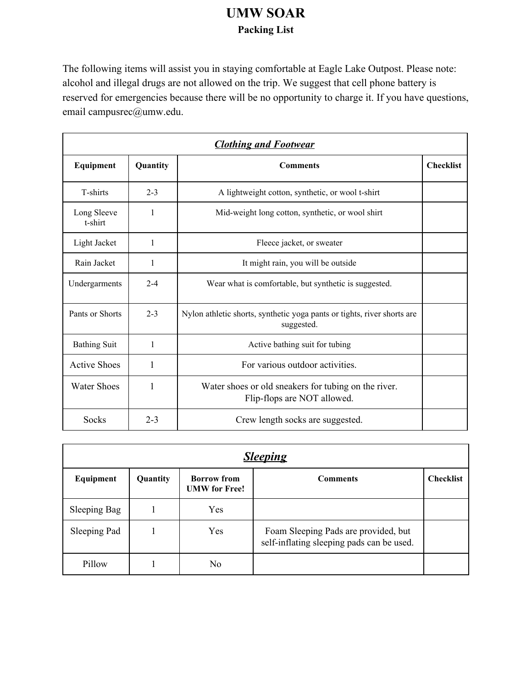## **UMW SOAR Packing List**

The following items will assist you in staying comfortable at Eagle Lake Outpost. Please note: alcohol and illegal drugs are not allowed on the trip. We suggest that cell phone battery is reserved for emergencies because there will be no opportunity to charge it. If you have questions, email campusrec@umw.edu.

| <b>Clothing and Footwear</b> |              |                                                                                       |                  |  |  |
|------------------------------|--------------|---------------------------------------------------------------------------------------|------------------|--|--|
| Equipment                    | Quantity     | <b>Comments</b>                                                                       | <b>Checklist</b> |  |  |
| T-shirts                     | $2 - 3$      | A lightweight cotton, synthetic, or wool t-shirt                                      |                  |  |  |
| Long Sleeve<br>t-shirt       | 1            | Mid-weight long cotton, synthetic, or wool shirt                                      |                  |  |  |
| Light Jacket                 | 1            | Fleece jacket, or sweater                                                             |                  |  |  |
| Rain Jacket                  | $\mathbf{1}$ | It might rain, you will be outside                                                    |                  |  |  |
| Undergarments                | $2 - 4$      | Wear what is comfortable, but synthetic is suggested.                                 |                  |  |  |
| Pants or Shorts              | $2 - 3$      | Nylon athletic shorts, synthetic yoga pants or tights, river shorts are<br>suggested. |                  |  |  |
| <b>Bathing Suit</b>          | 1            | Active bathing suit for tubing                                                        |                  |  |  |
| <b>Active Shoes</b>          | 1            | For various outdoor activities.                                                       |                  |  |  |
| <b>Water Shoes</b>           | 1            | Water shoes or old sneakers for tubing on the river.<br>Flip-flops are NOT allowed.   |                  |  |  |
| Socks                        | $2 - 3$      | Crew length socks are suggested.                                                      |                  |  |  |

| <b>Sleeping</b> |          |                                            |                                                                                   |                  |  |  |  |
|-----------------|----------|--------------------------------------------|-----------------------------------------------------------------------------------|------------------|--|--|--|
| Equipment       | Quantity | <b>Borrow</b> from<br><b>UMW</b> for Free! | <b>Comments</b>                                                                   | <b>Checklist</b> |  |  |  |
| Sleeping Bag    |          | Yes                                        |                                                                                   |                  |  |  |  |
| Sleeping Pad    |          | Yes                                        | Foam Sleeping Pads are provided, but<br>self-inflating sleeping pads can be used. |                  |  |  |  |
| Pillow          |          | No                                         |                                                                                   |                  |  |  |  |